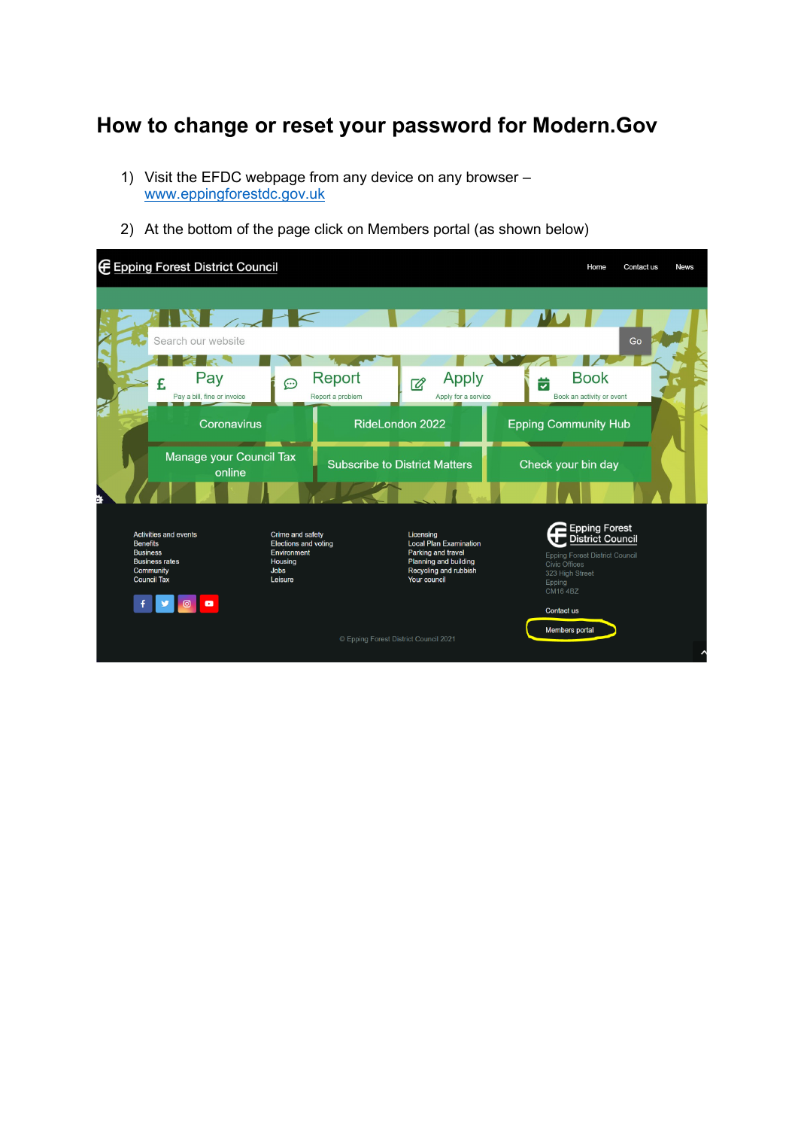## **How to change or reset your password for Modern.Gov**

- 1) Visit the EFDC webpage from any device on any browser [www.eppingforestdc.gov.uk](http://www.eppingforestdc.gov.uk/)
- 2) At the bottom of the page click on Members portal (as shown below)

| <b>E</b> Epping Forest District Council                                                                                                          |                                                                                                     |                                                                                                                                           | Home                                                                                                                                                  | Contact us<br><b>News</b> |
|--------------------------------------------------------------------------------------------------------------------------------------------------|-----------------------------------------------------------------------------------------------------|-------------------------------------------------------------------------------------------------------------------------------------------|-------------------------------------------------------------------------------------------------------------------------------------------------------|---------------------------|
| $\sim$<br>Search our website<br>Pay<br>£.<br>Pay a bill, fine or invoice<br>Coronavirus                                                          | Report<br>ම<br>Report a problem                                                                     | <b>Apply</b><br>$\overline{\mathscr{C}}$<br>Apply for a service<br><b>RideLondon 2022</b>                                                 | Go<br><b>Book</b><br>Ë<br>Book an activity or event<br><b>Epping Community Hub</b>                                                                    |                           |
| Manage your Council Tax<br>online<br>c.                                                                                                          |                                                                                                     | <b>Subscribe to District Matters</b>                                                                                                      | Check your bin day                                                                                                                                    |                           |
| <b>Activities and events</b><br><b>Benefits</b><br><b>Business</b><br><b>Business rates</b><br>Community<br><b>Council Tax</b><br>$\blacksquare$ | Crime and safety<br><b>Elections and voting</b><br>Environment<br>Housing<br><b>Jobs</b><br>Leisure | Licensing<br><b>Local Plan Examination</b><br>Parking and travel<br><b>Planning and building</b><br>Recycling and rubbish<br>Your council | l Epping Forest<br>¦ District Council<br><b>Epping Forest District Council</b><br><b>Civic Offices</b><br>323 High Street<br>Epping<br><b>CM164BZ</b> |                           |
|                                                                                                                                                  |                                                                                                     | © Epping Forest District Council 2021                                                                                                     | Contact us<br><b>Members portal</b>                                                                                                                   |                           |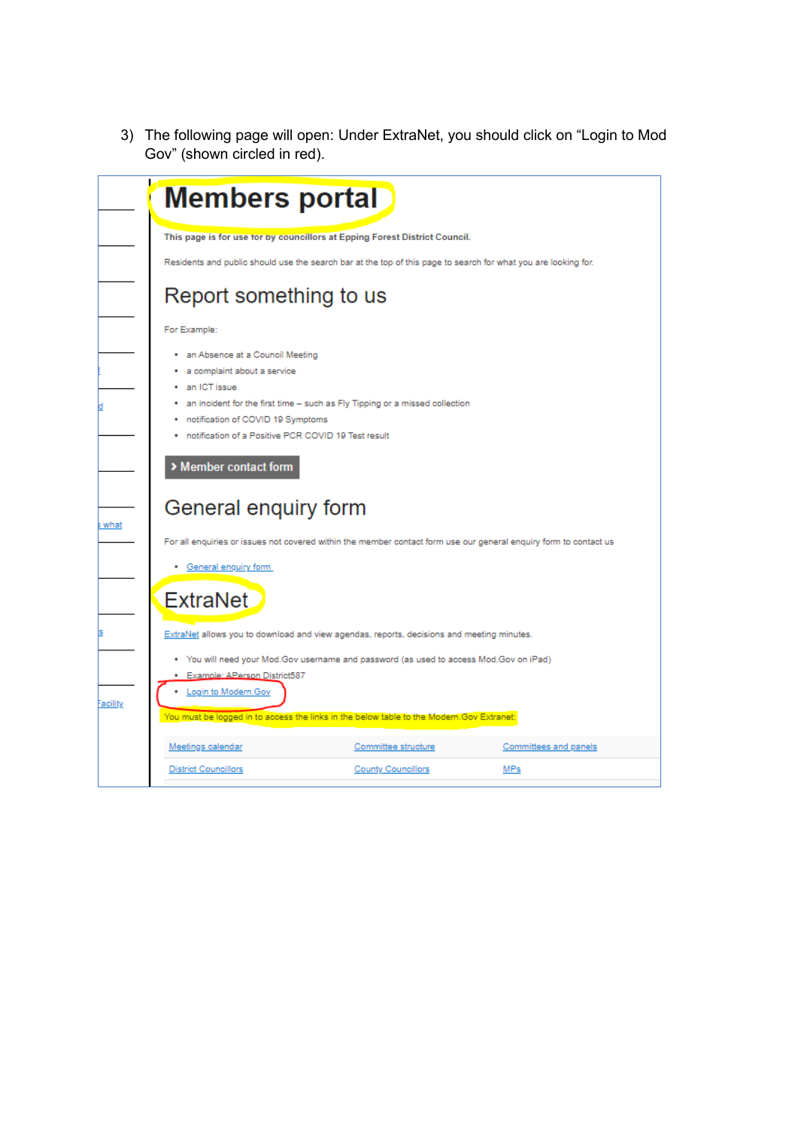3) The following page will open: Under ExtraNet, you should click on "Login to Mod Gov" (shown circled in red).

| <b>Members portal</b>                                                                    |                                                                                                                   |                       |
|------------------------------------------------------------------------------------------|-------------------------------------------------------------------------------------------------------------------|-----------------------|
|                                                                                          | This page is for use tor by councillors at Epping Forest District Council.                                        |                       |
|                                                                                          | Residents and public should use the search bar at the top of this page to search for what you are looking for.    |                       |
| Report something to us                                                                   |                                                                                                                   |                       |
| For Example:                                                                             |                                                                                                                   |                       |
| an Absence at a Council Meeting                                                          |                                                                                                                   |                       |
| a complaint about a service                                                              |                                                                                                                   |                       |
| · an ICT issue                                                                           |                                                                                                                   |                       |
|                                                                                          | an incident for the first time - such as Fly Tipping or a missed collection                                       |                       |
| notification of COVID 19 Symptoms<br>notification of a Positive PCR COVID 19 Test result |                                                                                                                   |                       |
| > Member contact form                                                                    |                                                                                                                   |                       |
| General enquiry form                                                                     |                                                                                                                   |                       |
|                                                                                          | For all enquiries or issues not covered within the member contact form use our general enquiry form to contact us |                       |
| General enquiry form                                                                     |                                                                                                                   |                       |
| <b>ExtraNet</b>                                                                          |                                                                                                                   |                       |
|                                                                                          | ExtraNet allows you to download and view agendas, reports, decisions and meeting minutes.                         |                       |
|                                                                                          | . You will need your Mod.Gov username and password (as used to access Mod.Gov on iPad)                            |                       |
| Example: APerson District587                                                             |                                                                                                                   |                       |
| Login to Modern.Gov                                                                      |                                                                                                                   |                       |
|                                                                                          | You must be logged in to access the links in the below table to the Modern.Gov Extranet:                          |                       |
| Meetings calendar                                                                        | Committee structure                                                                                               | Committees and panels |
|                                                                                          |                                                                                                                   |                       |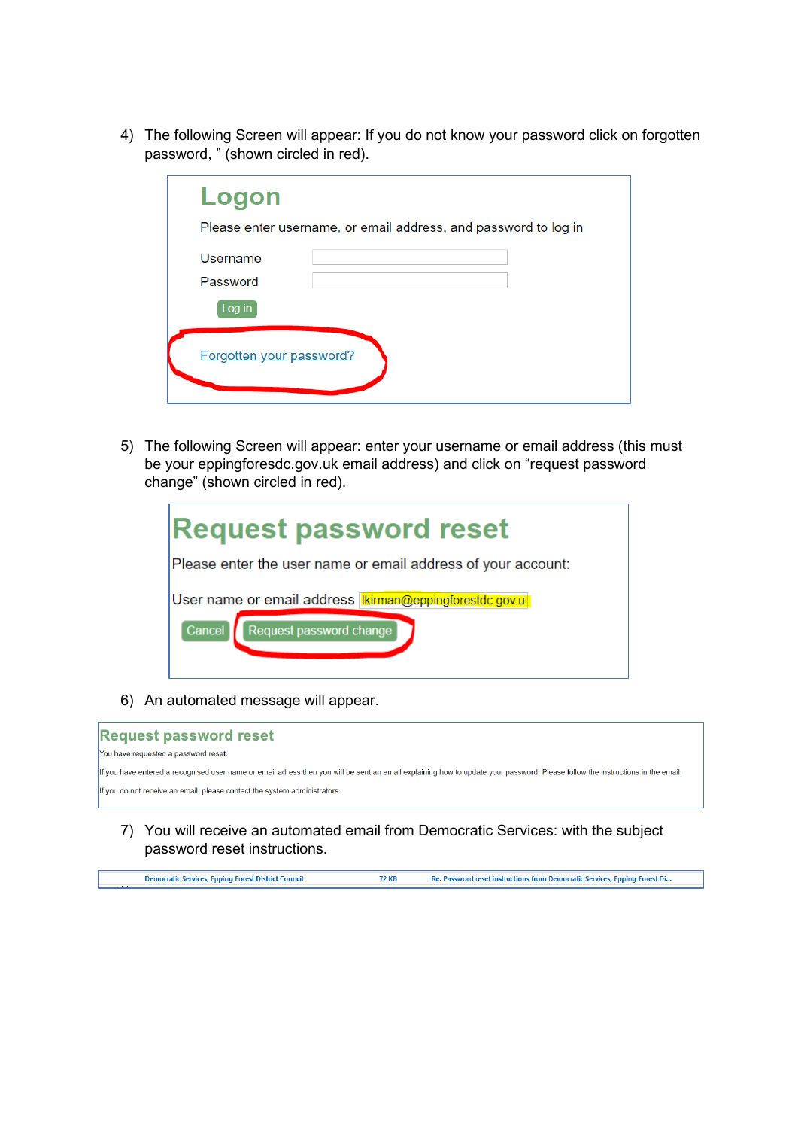4) The following Screen will appear: If you do not know your password click on forgotten password, " (shown circled in red).

| Logon                                                           |
|-----------------------------------------------------------------|
| Please enter username, or email address, and password to log in |
| Username                                                        |
| Password                                                        |
| Log in                                                          |
| Forgotten your password?                                        |

5) The following Screen will appear: enter your username or email address (this must be your eppingforesdc.gov.uk email address) and click on "request password change" (shown circled in red).

| <b>Request password reset</b>                                                                      |  |  |  |
|----------------------------------------------------------------------------------------------------|--|--|--|
| Please enter the user name or email address of your account:                                       |  |  |  |
| User name or email address <b>Kirman@eppingforestdc.gov.u</b><br>Request password change<br>Cancel |  |  |  |

6) An automated message will appear.



7) You will receive an automated email from Democratic Services: with the subject password reset instructions.

| Democratic Services, Epping Forest District Council | 72 KB | Re. Password reset instructions from Democratic Services, Epping Forest Di |
|-----------------------------------------------------|-------|----------------------------------------------------------------------------|
|                                                     |       |                                                                            |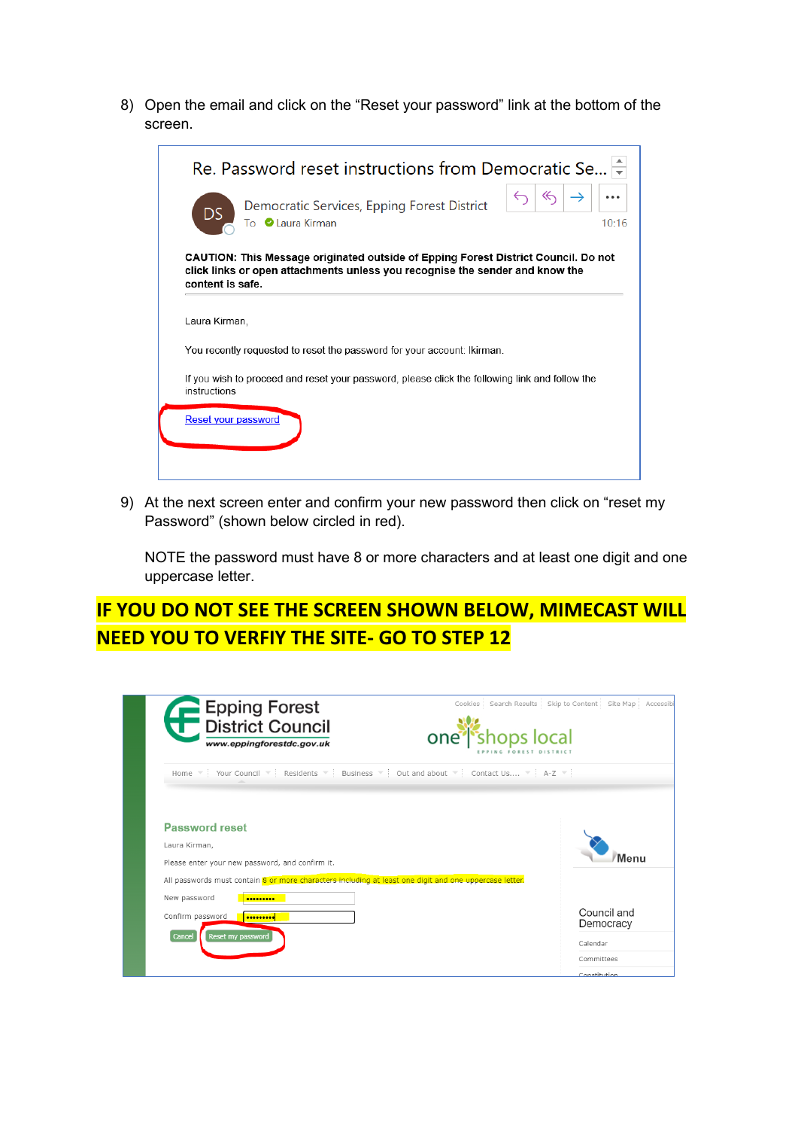8) Open the email and click on the "Reset your password" link at the bottom of the screen.

|                     | Re. Password reset instructions from Democratic Se                                                                                                                 |
|---------------------|--------------------------------------------------------------------------------------------------------------------------------------------------------------------|
| <b>DS</b>           | ≪<br>Democratic Services, Epping Forest District<br>To Caura Kirman<br>10:16                                                                                       |
| content is safe.    | CAUTION: This Message originated outside of Epping Forest District Council. Do not<br>click links or open attachments unless you recognise the sender and know the |
| Laura Kirman,       |                                                                                                                                                                    |
|                     | You recently requested to reset the password for your account: Ikirman.                                                                                            |
| instructions        | If you wish to proceed and reset your password, please click the following link and follow the                                                                     |
| Reset your password |                                                                                                                                                                    |
|                     |                                                                                                                                                                    |

9) At the next screen enter and confirm your new password then click on "reset my Password" (shown below circled in red).

NOTE the password must have 8 or more characters and at least one digit and one uppercase letter.

## **IF YOU DO NOT SEE THE SCREEN SHOWN BELOW, MIMECAST WILL NEED YOU TO VERFIY THE SITE- GO TO STEP 12**

| Epping Forest<br>District Council<br>www.eppingforestdc.gov.uk                                         | Search Results Skip to Content Site Map<br>Cookies<br>Accessib<br>one <sup>*</sup> shops local |
|--------------------------------------------------------------------------------------------------------|------------------------------------------------------------------------------------------------|
| Home Your Council Residents Business Out and about Contact Us 4-Z                                      |                                                                                                |
| <b>Password reset</b><br>Laura Kirman,                                                                 | Menu                                                                                           |
| Please enter your new password, and confirm it.                                                        |                                                                                                |
| All passwords must contain 8 or more characters including at least one digit and one uppercase letter. |                                                                                                |
| New password<br>                                                                                       |                                                                                                |
| Confirm password<br>                                                                                   | Council and<br>Democracy                                                                       |
| Reset my password<br>Cancel                                                                            | Calendar                                                                                       |
|                                                                                                        | Committees                                                                                     |
|                                                                                                        | Constitution                                                                                   |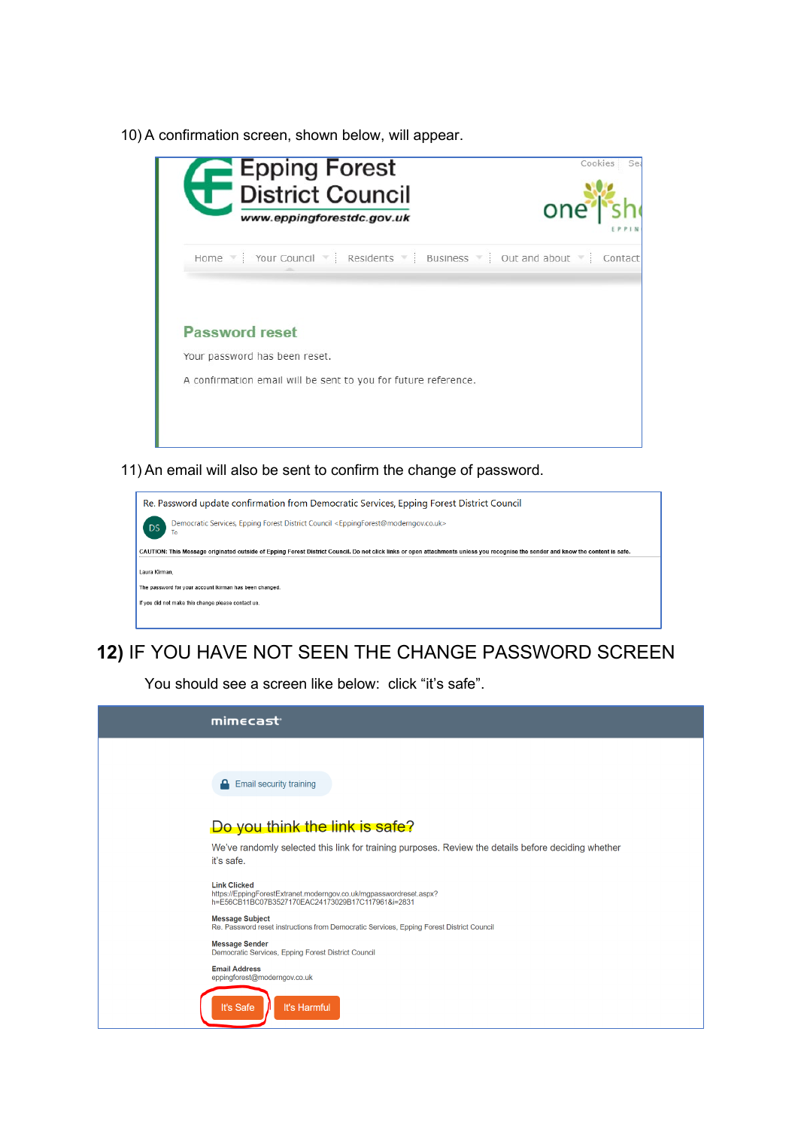10) A confirmation screen, shown below, will appear.

| Epping Forest<br><b>District Council</b><br>www.eppingforestdc.gov.uk                                                    | Cookies<br>Se<br>one |
|--------------------------------------------------------------------------------------------------------------------------|----------------------|
| Home Y Your Council Y Residents Business J Out and about Y Contact                                                       |                      |
| <b>Password reset</b><br>Your password has been reset.<br>A confirmation email will be sent to you for future reference. |                      |
|                                                                                                                          |                      |

11) An email will also be sent to confirm the change of password.

| Re. Password update confirmation from Democratic Services, Epping Forest District Council                                                                                        |  |  |  |
|----------------------------------------------------------------------------------------------------------------------------------------------------------------------------------|--|--|--|
| Democratic Services, Epping Forest District Council <eppingforest@moderngov.co.uk><br/>DS<sub>1</sub><br/>To</eppingforest@moderngov.co.uk>                                      |  |  |  |
| CAUTION: This Message originated outside of Epping Forest District Council. Do not click links or open attachments unless you recognise the sender and know the content is safe. |  |  |  |
| Laura Kirman.                                                                                                                                                                    |  |  |  |
| The password for your account Ikirman has been changed.                                                                                                                          |  |  |  |
| If you did not make this change please contact us.                                                                                                                               |  |  |  |
|                                                                                                                                                                                  |  |  |  |

## **12)** IF YOU HAVE NOT SEEN THE CHANGE PASSWORD SCREEN

You should see a screen like below: click "it's safe".

| mimecast <sup>®</sup>                                                                                                                          |
|------------------------------------------------------------------------------------------------------------------------------------------------|
|                                                                                                                                                |
| <b>A</b> Email security training                                                                                                               |
| Do you think the link is safe?                                                                                                                 |
| We've randomly selected this link for training purposes. Review the details before deciding whether<br>it's safe.                              |
| <b>Link Clicked</b><br>https://EppingForestExtranet.moderngov.co.uk/mgpasswordreset.aspx?<br>h=E56CB11BC07B3527170EAC24173029B17C117961&i=2831 |
| <b>Message Subject</b><br>Re. Password reset instructions from Democratic Services, Epping Forest District Council                             |
| <b>Message Sender</b><br>Democratic Services, Epping Forest District Council                                                                   |
| <b>Email Address</b><br>eppingforest@moderngov.co.uk                                                                                           |
| It's Safe<br>It's Harmful                                                                                                                      |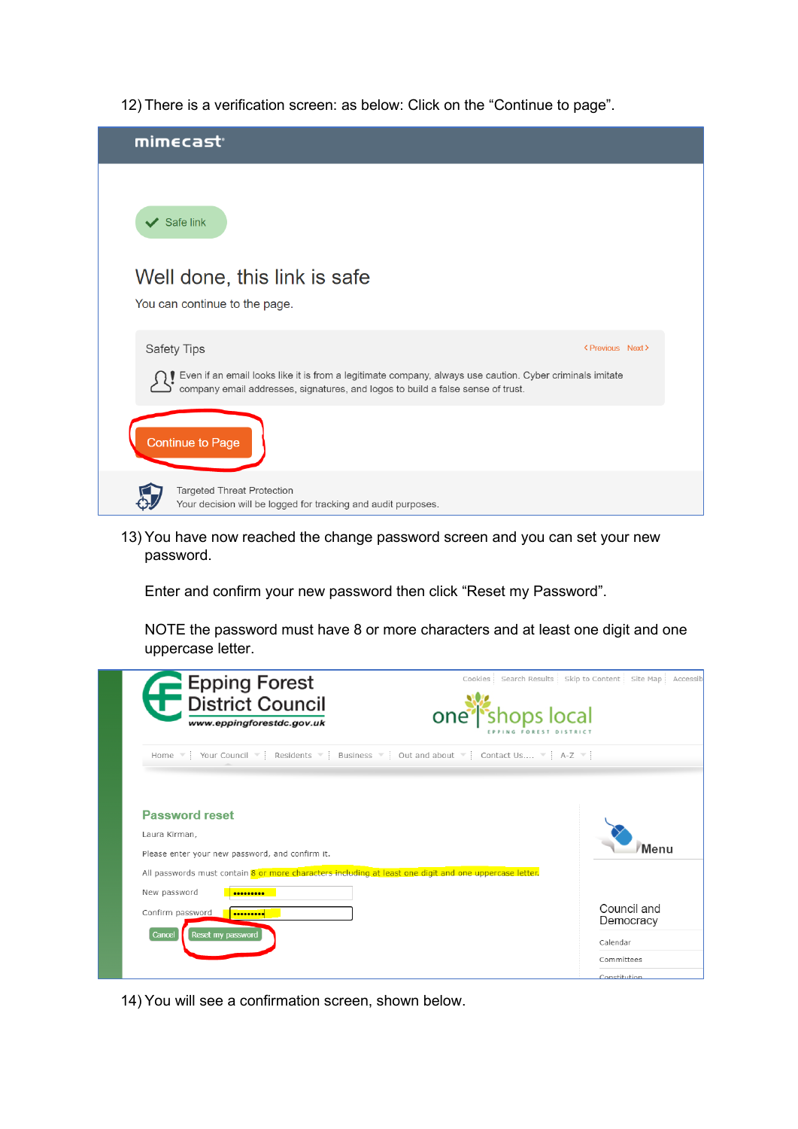12) There is a verification screen: as below: Click on the "Continue to page".



## 13) You have now reached the change password screen and you can set your new password.

Enter and confirm your new password then click "Reset my Password".

NOTE the password must have 8 or more characters and at least one digit and one uppercase letter.

| Epping Forest<br><b>District Council</b><br>one <sup>®</sup><br>www.eppingforestdc.gov.uk                                                                                         | Cookies Search Results Skip to Content<br>Site Map<br>Accessib<br>shops local |
|-----------------------------------------------------------------------------------------------------------------------------------------------------------------------------------|-------------------------------------------------------------------------------|
| Home Your Council Residents Business Out and about Contact Us 4-Z                                                                                                                 |                                                                               |
| <b>Password reset</b><br>Laura Kirman,<br>Please enter your new password, and confirm it.                                                                                         | Menu                                                                          |
| All passwords must contain 8 or more characters including at least one digit and one uppercase letter.<br>New password<br><br>Confirm password<br><br>Cancel<br>Reset my password | Council and<br>Democracy                                                      |
|                                                                                                                                                                                   | Calendar<br>Committees<br>Constitution                                        |

14) You will see a confirmation screen, shown below.